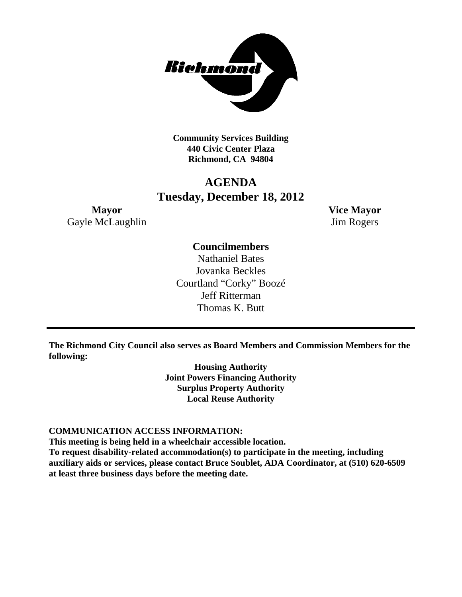

**Community Services Building 440 Civic Center Plaza Richmond, CA 94804**

# **AGENDA Tuesday, December 18, 2012**

**Mayor Vice Mayor** Gayle McLaughlin Jim Rogers

# **Councilmembers**

Nathaniel Bates Jovanka Beckles Courtland "Corky" Boozé Jeff Ritterman Thomas K. Butt

**The Richmond City Council also serves as Board Members and Commission Members for the following:**

> **Housing Authority Joint Powers Financing Authority Surplus Property Authority Local Reuse Authority**

#### **COMMUNICATION ACCESS INFORMATION:**

**This meeting is being held in a wheelchair accessible location.**

**To request disability-related accommodation(s) to participate in the meeting, including auxiliary aids or services, please contact Bruce Soublet, ADA Coordinator, at (510) 620-6509 at least three business days before the meeting date.**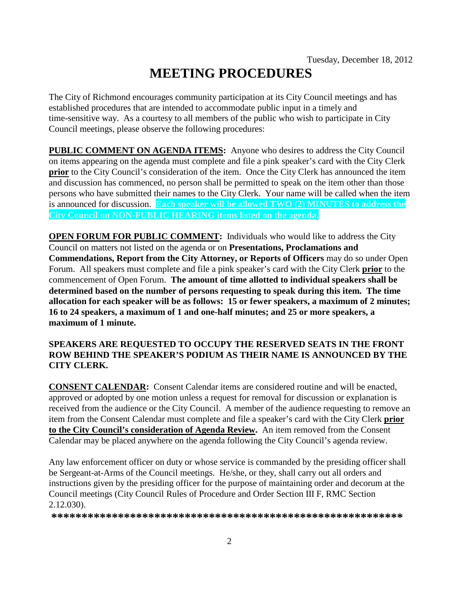# **MEETING PROCEDURES**

The City of Richmond encourages community participation at its City Council meetings and has established procedures that are intended to accommodate public input in a timely and time-sensitive way. As a courtesy to all members of the public who wish to participate in City Council meetings, please observe the following procedures:

**PUBLIC COMMENT ON AGENDA ITEMS:** Anyone who desires to address the City Council on items appearing on the agenda must complete and file a pink speaker's card with the City Clerk **prior** to the City Council's consideration of the item. Once the City Clerk has announced the item and discussion has commenced, no person shall be permitted to speak on the item other than those persons who have submitted their names to the City Clerk. Your name will be called when the item is announced for discussion. **Each speaker will be allowed TWO (2) MINUTES to address the City Council on NON-PUBLIC HEARING items listed on the agenda.**

**OPEN FORUM FOR PUBLIC COMMENT:** Individuals who would like to address the City Council on matters not listed on the agenda or on **Presentations, Proclamations and Commendations, Report from the City Attorney, or Reports of Officers** may do so under Open Forum. All speakers must complete and file a pink speaker's card with the City Clerk **prior** to the commencement of Open Forum. **The amount of time allotted to individual speakers shall be determined based on the number of persons requesting to speak during this item. The time allocation for each speaker will be as follows: 15 or fewer speakers, a maximum of 2 minutes; 16 to 24 speakers, a maximum of 1 and one-half minutes; and 25 or more speakers, a maximum of 1 minute.**

## **SPEAKERS ARE REQUESTED TO OCCUPY THE RESERVED SEATS IN THE FRONT ROW BEHIND THE SPEAKER'S PODIUM AS THEIR NAME IS ANNOUNCED BY THE CITY CLERK.**

**CONSENT CALENDAR:** Consent Calendar items are considered routine and will be enacted, approved or adopted by one motion unless a request for removal for discussion or explanation is received from the audience or the City Council. A member of the audience requesting to remove an item from the Consent Calendar must complete and file a speaker's card with the City Clerk **prior to the City Council's consideration of Agenda Review.** An item removed from the Consent Calendar may be placed anywhere on the agenda following the City Council's agenda review.

Any law enforcement officer on duty or whose service is commanded by the presiding officer shall be Sergeant-at-Arms of the Council meetings. He/she, or they, shall carry out all orders and instructions given by the presiding officer for the purpose of maintaining order and decorum at the Council meetings (City Council Rules of Procedure and Order Section III F, RMC Section 2.12.030).

**\*\*\*\*\*\*\*\*\*\*\*\*\*\*\*\*\*\*\*\*\*\*\*\*\*\*\*\*\*\*\*\*\*\*\*\*\*\*\*\*\*\*\*\*\*\*\*\*\*\*\*\*\*\*\*\*\*\***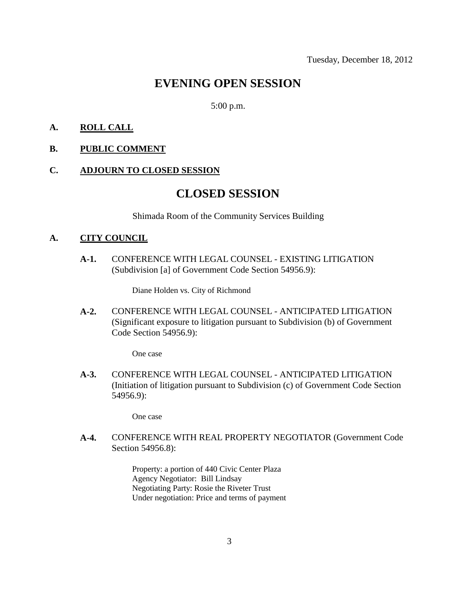# **EVENING OPEN SESSION**

#### 5:00 p.m.

#### **A. ROLL CALL**

**B. PUBLIC COMMENT**

#### **C. ADJOURN TO CLOSED SESSION**

# **CLOSED SESSION**

Shimada Room of the Community Services Building

#### **A. CITY COUNCIL**

**A-1.** CONFERENCE WITH LEGAL COUNSEL - EXISTING LITIGATION (Subdivision [a] of Government Code Section 54956.9):

Diane Holden vs. City of Richmond

**A-2.** CONFERENCE WITH LEGAL COUNSEL - ANTICIPATED LITIGATION (Significant exposure to litigation pursuant to Subdivision (b) of Government Code Section 54956.9):

One case

**A-3.** CONFERENCE WITH LEGAL COUNSEL - ANTICIPATED LITIGATION (Initiation of litigation pursuant to Subdivision (c) of Government Code Section 54956.9):

One case

**A-4.** CONFERENCE WITH REAL PROPERTY NEGOTIATOR (Government Code Section 54956.8):

> Property: a portion of 440 Civic Center Plaza Agency Negotiator: Bill Lindsay Negotiating Party: Rosie the Riveter Trust Under negotiation: Price and terms of payment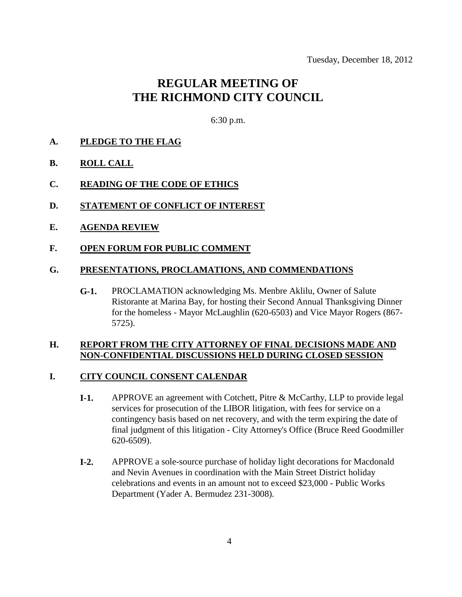# **REGULAR MEETING OF THE RICHMOND CITY COUNCIL**

6:30 p.m.

#### **A. PLEDGE TO THE FLAG**

- **B. ROLL CALL**
- **C. READING OF THE CODE OF ETHICS**
- **D. STATEMENT OF CONFLICT OF INTEREST**
- **E. AGENDA REVIEW**

#### **F. OPEN FORUM FOR PUBLIC COMMENT**

#### **G. PRESENTATIONS, PROCLAMATIONS, AND COMMENDATIONS**

**G-1.** PROCLAMATION acknowledging Ms. Menbre Aklilu, Owner of Salute Ristorante at Marina Bay, for hosting their Second Annual Thanksgiving Dinner for the homeless - Mayor McLaughlin (620-6503) and Vice Mayor Rogers (867- 5725).

#### **H. REPORT FROM THE CITY ATTORNEY OF FINAL DECISIONS MADE AND NON-CONFIDENTIAL DISCUSSIONS HELD DURING CLOSED SESSION**

#### **I. CITY COUNCIL CONSENT CALENDAR**

- **I-1.** APPROVE an agreement with Cotchett, Pitre & McCarthy, LLP to provide legal services for prosecution of the LIBOR litigation, with fees for service on a contingency basis based on net recovery, and with the term expiring the date of final judgment of this litigation - City Attorney's Office (Bruce Reed Goodmiller 620-6509).
- **I-2.** APPROVE a sole-source purchase of holiday light decorations for Macdonald and Nevin Avenues in coordination with the Main Street District holiday celebrations and events in an amount not to exceed \$23,000 - Public Works Department (Yader A. Bermudez 231-3008).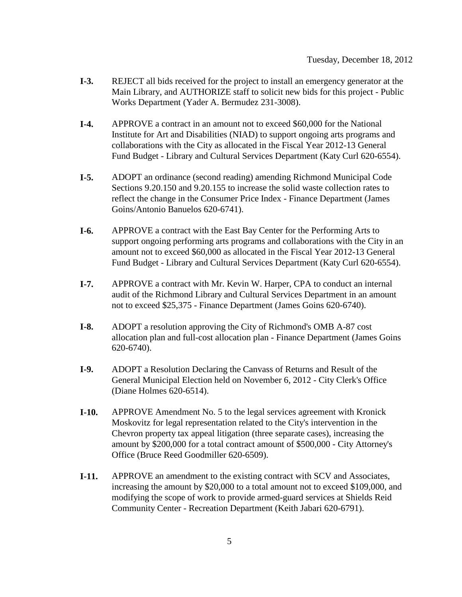- **I-3.** REJECT all bids received for the project to install an emergency generator at the Main Library, and AUTHORIZE staff to solicit new bids for this project - Public Works Department (Yader A. Bermudez 231-3008).
- **I-4.** APPROVE a contract in an amount not to exceed \$60,000 for the National Institute for Art and Disabilities (NIAD) to support ongoing arts programs and collaborations with the City as allocated in the Fiscal Year 2012-13 General Fund Budget - Library and Cultural Services Department (Katy Curl 620-6554).
- **I-5.** ADOPT an ordinance (second reading) amending Richmond Municipal Code Sections 9.20.150 and 9.20.155 to increase the solid waste collection rates to reflect the change in the Consumer Price Index - Finance Department (James Goins/Antonio Banuelos 620-6741).
- **I-6.** APPROVE a contract with the East Bay Center for the Performing Arts to support ongoing performing arts programs and collaborations with the City in an amount not to exceed \$60,000 as allocated in the Fiscal Year 2012-13 General Fund Budget - Library and Cultural Services Department (Katy Curl 620-6554).
- **I-7.** APPROVE a contract with Mr. Kevin W. Harper, CPA to conduct an internal audit of the Richmond Library and Cultural Services Department in an amount not to exceed \$25,375 - Finance Department (James Goins 620-6740).
- **I-8.** ADOPT a resolution approving the City of Richmond's OMB A-87 cost allocation plan and full-cost allocation plan - Finance Department (James Goins 620-6740).
- **I-9.** ADOPT a Resolution Declaring the Canvass of Returns and Result of the General Municipal Election held on November 6, 2012 - City Clerk's Office (Diane Holmes 620-6514).
- **I-10.** APPROVE Amendment No. 5 to the legal services agreement with Kronick Moskovitz for legal representation related to the City's intervention in the Chevron property tax appeal litigation (three separate cases), increasing the amount by \$200,000 for a total contract amount of \$500,000 - City Attorney's Office (Bruce Reed Goodmiller 620-6509).
- **I-11.** APPROVE an amendment to the existing contract with SCV and Associates, increasing the amount by \$20,000 to a total amount not to exceed \$109,000, and modifying the scope of work to provide armed-guard services at Shields Reid Community Center - Recreation Department (Keith Jabari 620-6791).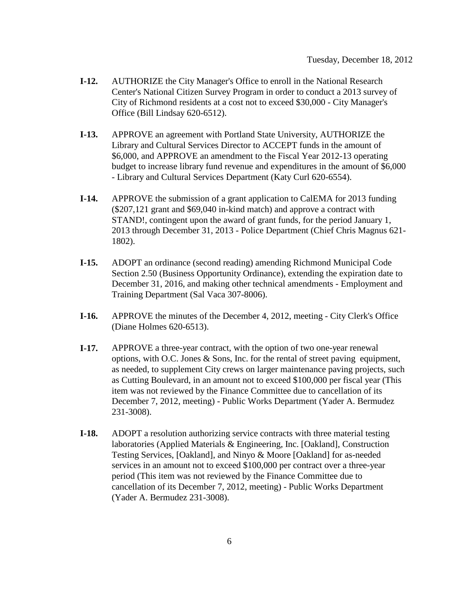- **I-12.** AUTHORIZE the City Manager's Office to enroll in the National Research Center's National Citizen Survey Program in order to conduct a 2013 survey of City of Richmond residents at a cost not to exceed \$30,000 - City Manager's Office (Bill Lindsay 620-6512).
- **I-13.** APPROVE an agreement with Portland State University, AUTHORIZE the Library and Cultural Services Director to ACCEPT funds in the amount of \$6,000, and APPROVE an amendment to the Fiscal Year 2012-13 operating budget to increase library fund revenue and expenditures in the amount of \$6,000 - Library and Cultural Services Department (Katy Curl 620-6554).
- **I-14.** APPROVE the submission of a grant application to CalEMA for 2013 funding (\$207,121 grant and \$69,040 in-kind match) and approve a contract with STAND!, contingent upon the award of grant funds, for the period January 1, 2013 through December 31, 2013 - Police Department (Chief Chris Magnus 621- 1802).
- **I-15.** ADOPT an ordinance (second reading) amending Richmond Municipal Code Section 2.50 (Business Opportunity Ordinance), extending the expiration date to December 31, 2016, and making other technical amendments - Employment and Training Department (Sal Vaca 307-8006).
- **I-16.** APPROVE the minutes of the December 4, 2012, meeting City Clerk's Office (Diane Holmes 620-6513).
- **I-17.** APPROVE a three-year contract, with the option of two one-year renewal options, with O.C. Jones  $\&$  Sons, Inc. for the rental of street paving equipment, as needed, to supplement City crews on larger maintenance paving projects, such as Cutting Boulevard, in an amount not to exceed \$100,000 per fiscal year (This item was not reviewed by the Finance Committee due to cancellation of its December 7, 2012, meeting) - Public Works Department (Yader A. Bermudez 231-3008).
- **I-18.** ADOPT a resolution authorizing service contracts with three material testing laboratories (Applied Materials & Engineering, Inc. [Oakland], Construction Testing Services, [Oakland], and Ninyo & Moore [Oakland] for as-needed services in an amount not to exceed \$100,000 per contract over a three-year period (This item was not reviewed by the Finance Committee due to cancellation of its December 7, 2012, meeting) - Public Works Department (Yader A. Bermudez 231-3008).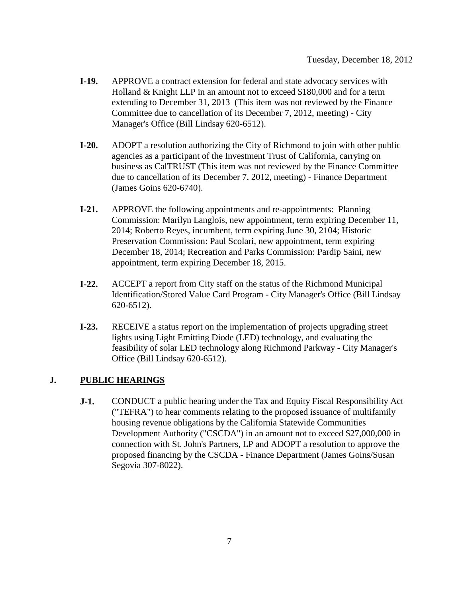- **I-19.** APPROVE a contract extension for federal and state advocacy services with Holland & Knight LLP in an amount not to exceed \$180,000 and for a term extending to December 31, 2013 (This item was not reviewed by the Finance Committee due to cancellation of its December 7, 2012, meeting) - City Manager's Office (Bill Lindsay 620-6512).
- **I-20.** ADOPT a resolution authorizing the City of Richmond to join with other public agencies as a participant of the Investment Trust of California, carrying on business as CalTRUST (This item was not reviewed by the Finance Committee due to cancellation of its December 7, 2012, meeting) - Finance Department (James Goins 620-6740).
- **I-21.** APPROVE the following appointments and re-appointments: Planning Commission: Marilyn Langlois, new appointment, term expiring December 11, 2014; Roberto Reyes, incumbent, term expiring June 30, 2104; Historic Preservation Commission: Paul Scolari, new appointment, term expiring December 18, 2014; Recreation and Parks Commission: Pardip Saini, new appointment, term expiring December 18, 2015.
- **I-22.** ACCEPT a report from City staff on the status of the Richmond Municipal Identification/Stored Value Card Program - City Manager's Office (Bill Lindsay 620-6512).
- **I-23.** RECEIVE a status report on the implementation of projects upgrading street lights using Light Emitting Diode (LED) technology, and evaluating the feasibility of solar LED technology along Richmond Parkway - City Manager's Office (Bill Lindsay 620-6512).

# **J. PUBLIC HEARINGS**

**J-1.** CONDUCT a public hearing under the Tax and Equity Fiscal Responsibility Act ("TEFRA") to hear comments relating to the proposed issuance of multifamily housing revenue obligations by the California Statewide Communities Development Authority ("CSCDA") in an amount not to exceed \$27,000,000 in connection with St. John's Partners, LP and ADOPT a resolution to approve the proposed financing by the CSCDA - Finance Department (James Goins/Susan Segovia 307-8022).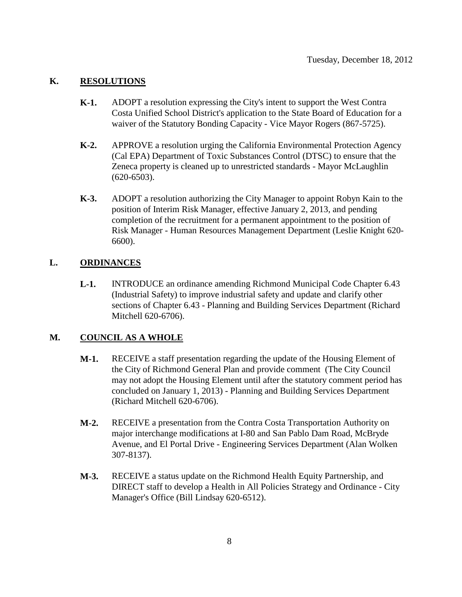#### **K. RESOLUTIONS**

- **K-1.** ADOPT a resolution expressing the City's intent to support the West Contra Costa Unified School District's application to the State Board of Education for a waiver of the Statutory Bonding Capacity - Vice Mayor Rogers (867-5725).
- **K-2.** APPROVE a resolution urging the California Environmental Protection Agency (Cal EPA) Department of Toxic Substances Control (DTSC) to ensure that the Zeneca property is cleaned up to unrestricted standards - Mayor McLaughlin (620-6503).
- **K-3.** ADOPT a resolution authorizing the City Manager to appoint Robyn Kain to the position of Interim Risk Manager, effective January 2, 2013, and pending completion of the recruitment for a permanent appointment to the position of Risk Manager - Human Resources Management Department (Leslie Knight 620- 6600).

## **L. ORDINANCES**

**L-1.** INTRODUCE an ordinance amending Richmond Municipal Code Chapter 6.43 (Industrial Safety) to improve industrial safety and update and clarify other sections of Chapter 6.43 - Planning and Building Services Department (Richard Mitchell 620-6706).

## **M. COUNCIL AS A WHOLE**

- **M-1.** RECEIVE a staff presentation regarding the update of the Housing Element of the City of Richmond General Plan and provide comment (The City Council may not adopt the Housing Element until after the statutory comment period has concluded on January 1, 2013) - Planning and Building Services Department (Richard Mitchell 620-6706).
- **M-2.** RECEIVE a presentation from the Contra Costa Transportation Authority on major interchange modifications at I-80 and San Pablo Dam Road, McBryde Avenue, and El Portal Drive - Engineering Services Department (Alan Wolken 307-8137).
- **M-3.** RECEIVE a status update on the Richmond Health Equity Partnership, and DIRECT staff to develop a Health in All Policies Strategy and Ordinance - City Manager's Office (Bill Lindsay 620-6512).